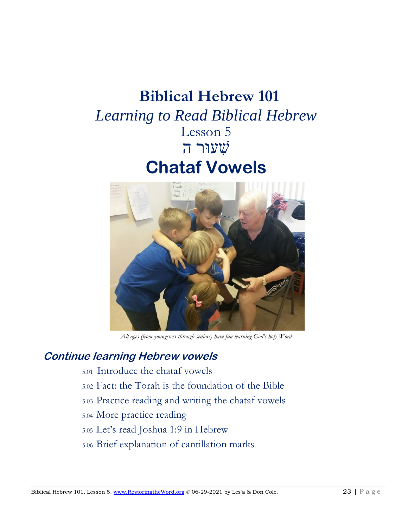# **Biblical Hebrew 101**  *Learning to Read Biblical Hebrew* Lesson 5 שׁ ִעוּר ה **Chataf Vowels**



*All ages (from youngsters through seniors) have fun learning God's holy Word*

## **Continue learning Hebrew vowels**

- 5.01 Introduce the chataf vowels
- 5.02 Fact: the Torah is the foundation of the Bible
- 5.03 Practice reading and writing the chataf vowels
- 5.04 More practice reading
- 5.05 Let's read Joshua 1:9 in Hebrew
- 5.06 Brief explanation of cantillation marks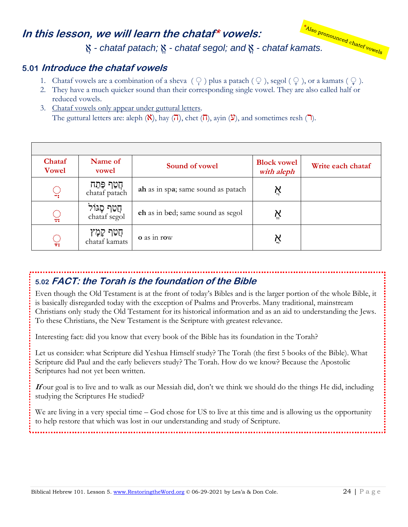## **In this lesson, we will learn the chataf\* vowels:**



#### **5.01 Introduce the chataf vowels**

- 1. Chataf vowels are a combination of a sheva  $(\cdot)$  plus a patach  $(\cdot)$ , segol  $(\cdot)$ , or a kamats  $(\cdot)$ .
- 2. They have a much quicker sound than their corresponding single vowel. They are also called half or reduced vowels.
- 3. Chataf vowels only appear under guttural letters. The guttural letters are: aleph  $(\mathbf{X})$ , hay  $(\mathbf{\vec{a}})$ , chet  $(\mathbf{\vec{b}})$ , avin  $(\mathbf{Y})$ , and sometimes resh  $(\mathbf{\vec{a}})$ .

| Chataf<br><b>Vowel</b> | Name of<br>vowel               | Sound of vowel                     | <b>Block vowel</b><br>with aleph | Write each chataf |
|------------------------|--------------------------------|------------------------------------|----------------------------------|-------------------|
| $\mathbb{Q}$           | ַחֲטַף פֵּתַח<br>chataf patach | ah as in spa; same sound as patach | Ķ                                |                   |
| $\mathbb{Q}$           | חֲטַף סֶגּוֹל<br>chataf segol  | ch as in bed; same sound as segol  | Ϋ,                               |                   |
| $\mathbb{Q}$           | ּחֲטַף קָמָץ<br>chataf kamats  | o as in row                        | אֲ                               |                   |

#### **5.02 FACT: the Torah is the foundation of the Bible**

Even though the Old Testament is at the front of today's Bibles and is the larger portion of the whole Bible, it is basically disregarded today with the exception of Psalms and Proverbs. Many traditional, mainstream Christians only study the Old Testament for its historical information and as an aid to understanding the Jews. To these Christians, the New Testament is the Scripture with greatest relevance.

Interesting fact: did you know that every book of the Bible has its foundation in the Torah?

Let us consider: what Scripture did Yeshua Himself study? The Torah (the first 5 books of the Bible). What Scripture did Paul and the early believers study? The Torah. How do we know? Because the Apostolic Scriptures had not yet been written.

**If** our goal is to live and to walk as our Messiah did, don't we think we should do the things He did, including studying the Scriptures He studied?

We are living in a very special time – God chose for US to live at this time and is allowing us the opportunity to help restore that which was lost in our understanding and study of Scripture.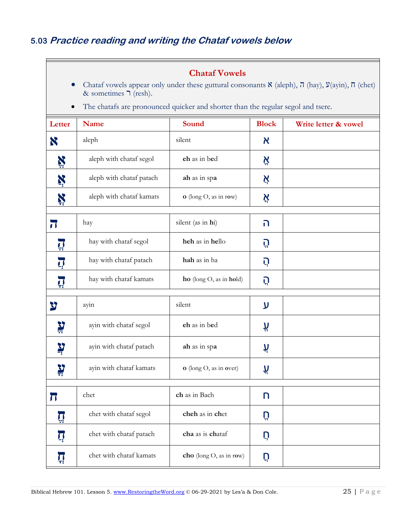$\mathsf{E}$ 

| <b>Chataf Vowels</b><br>Chataf vowels appear only under these guttural consonants $\aleph$ (aleph), $\frac{\pi}{\pi}$ (hay), $\aleph(\text{ayin})$ , $\pi$ (chet)<br>& sometimes $\supset$ (resh). |                          |                              |              |                      |  |  |  |
|----------------------------------------------------------------------------------------------------------------------------------------------------------------------------------------------------|--------------------------|------------------------------|--------------|----------------------|--|--|--|
| The chatafs are pronounced quicker and shorter than the regular segol and tsere.<br>$\bullet$                                                                                                      |                          |                              |              |                      |  |  |  |
| Letter                                                                                                                                                                                             | <b>Name</b>              | <b>Sound</b>                 | <b>Block</b> | Write letter & vowel |  |  |  |
| X                                                                                                                                                                                                  | aleph                    | silent                       | א            |                      |  |  |  |
| X                                                                                                                                                                                                  | aleph with chataf segol  | eh as in bed                 | Ä            |                      |  |  |  |
| Ņ                                                                                                                                                                                                  | aleph with chataf patach | ah as in spa                 | אֲ           |                      |  |  |  |
| Ķ                                                                                                                                                                                                  | aleph with chataf kamats | o (long O, as in row)        | Ķ            |                      |  |  |  |
| $\overline{\mathbf{u}}$                                                                                                                                                                            | hay                      | silent (as in hi)            | ה            |                      |  |  |  |
| $\prod_{i=1}^n$                                                                                                                                                                                    | hay with chataf segol    | heh as in hello              | Ű            |                      |  |  |  |
| $\overline{\mathbf{Q}}$                                                                                                                                                                            | hay with chataf patach   | hah as in ha                 | Ú            |                      |  |  |  |
| Ţļ                                                                                                                                                                                                 | hay with chataf kamats   | $ho$ (long $O$ , as in hold) | הָ           |                      |  |  |  |
| צ                                                                                                                                                                                                  | ayin                     | silent                       | ע            |                      |  |  |  |
| <b>Al</b>                                                                                                                                                                                          | ayin with chataf segol   | eh as in bed                 | Ä            |                      |  |  |  |
| Ņ                                                                                                                                                                                                  | ayin with chataf patach  | ah as in spa                 | لإ           |                      |  |  |  |
| ֹעֲ                                                                                                                                                                                                | ayin with chataf kamats  | o (long O, as in over)       | ڸٳ           |                      |  |  |  |
| π                                                                                                                                                                                                  | chet                     | ch as in Bach                | n            |                      |  |  |  |
|                                                                                                                                                                                                    | chet with chataf segol   | cheh as in chet              | Ü            |                      |  |  |  |
| הְ                                                                                                                                                                                                 | chet with chataf patach  | cha as is chataf             | ņ            |                      |  |  |  |
| Ţ                                                                                                                                                                                                  | chet with chataf kamats  | cho (long O, as in row)      | ņ            |                      |  |  |  |

Ξ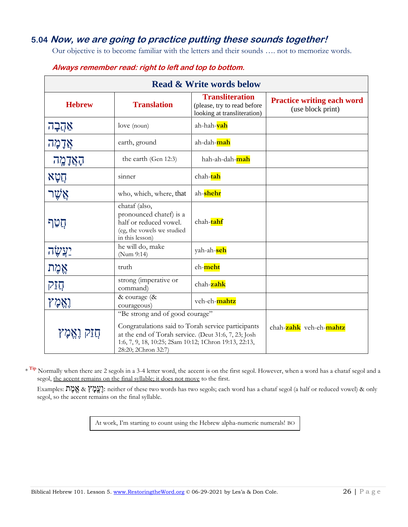#### **5.04 Now, we are going to practice putting these sounds together!**

Our objective is to become familiar with the letters and their sounds …. not to memorize words.

| <b>Read &amp; Write words below</b> |                                                                                                                                                                                                                                |                                                                                      |                                                        |  |  |  |
|-------------------------------------|--------------------------------------------------------------------------------------------------------------------------------------------------------------------------------------------------------------------------------|--------------------------------------------------------------------------------------|--------------------------------------------------------|--|--|--|
| <b>Hebrew</b>                       | <b>Translation</b>                                                                                                                                                                                                             | <b>Transliteration</b><br>(please, try to read before<br>looking at transliteration) | <b>Practice writing each word</b><br>(use block print) |  |  |  |
| אַהֲבָה                             | love (noun)                                                                                                                                                                                                                    | ah-hah- <mark>vah</mark>                                                             |                                                        |  |  |  |
| אֲדָמָה                             | earth, ground                                                                                                                                                                                                                  | ah-dah-mah                                                                           |                                                        |  |  |  |
| הָאֲדָמֶה                           | the earth (Gen 12:3)                                                                                                                                                                                                           | hah-ah-dah- <mark>mah</mark>                                                         |                                                        |  |  |  |
| תִטְא                               | sinner                                                                                                                                                                                                                         | chah-tah                                                                             |                                                        |  |  |  |
| אַשר                                | who, which, where, that                                                                                                                                                                                                        | ah-shehr                                                                             |                                                        |  |  |  |
| חֲטַף                               | chataf (also,<br>pronounced chatef) is a<br>half or reduced vowel.<br>(eg, the vowels we studied<br>in this lesson)                                                                                                            | chah-tahf                                                                            |                                                        |  |  |  |
| <u>יַצְשָׂה</u>                     | he will do, make<br>(Num 9:14)                                                                                                                                                                                                 | yah-ah- <mark>seh</mark>                                                             |                                                        |  |  |  |
| אֱמֶת                               | truth                                                                                                                                                                                                                          | eh-meht                                                                              |                                                        |  |  |  |
| תֲזַק                               | strong (imperative or<br>command)                                                                                                                                                                                              | chah-zahk                                                                            |                                                        |  |  |  |
| וְאֵמְץ                             | & courage (&<br>courageous)                                                                                                                                                                                                    | veh-eh-mahtz                                                                         |                                                        |  |  |  |
| חֲזַק וָאֱמָץ                       | "Be strong and of good courage"<br>Congratulations said to Torah service participants<br>at the end of Torah service. (Deut 31:6, 7, 23; Josh<br>1:6, 7, 9, 18, 10:25; 2Sam 10:12; 1Chron 19:13, 22:13,<br>28:20; 2Chron 32:7) | chah-zahk veh-eh-mahtz                                                               |                                                        |  |  |  |

#### **Always remember read: right to left and top to bottom.**

<sup>Tip</sup> Normally when there are 2 segols in a 3-4 letter word, the accent is on the first segol. However, when a word has a chataf segol and a segol, the accent remains on the final syllable; it does not move to the first.

Examples: גֲבֶלָץ & אֱמֶת ineither of these two words has two segols; each word has a chataf segol (a half or reduced vowel) & only segol, so the accent remains on the final syllable.

At work, I'm starting to count using the Hebrew alpha-numeric numerals! BO